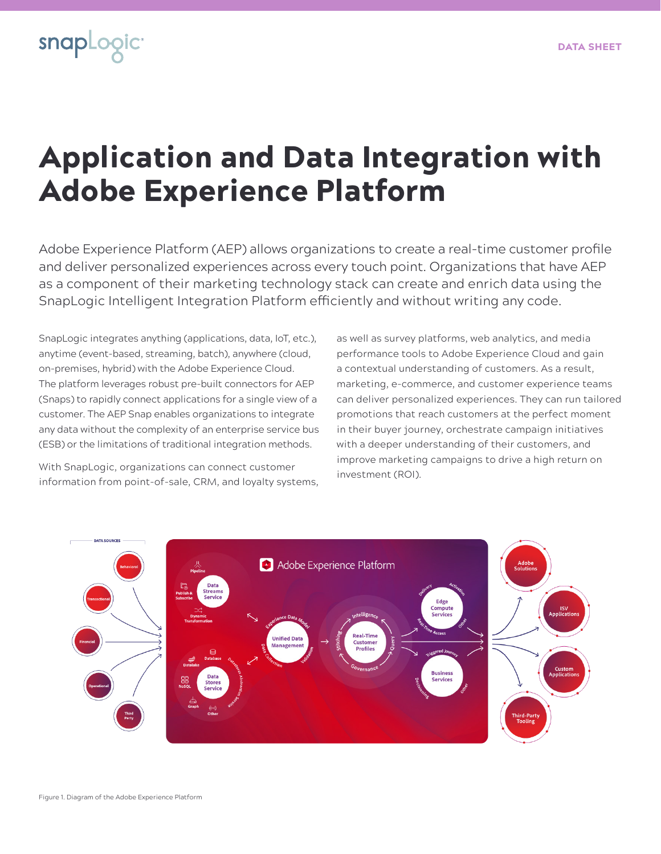

## Application and Data Integration with Adobe Experience Platform

Adobe Experience Platform (AEP) allows organizations to create a real-time customer profile and deliver personalized experiences across every touch point. Organizations that have AEP as a component of their marketing technology stack can create and enrich data using the SnapLogic Intelligent Integration Platform efficiently and without writing any code.

SnapLogic integrates anything (applications, data, IoT, etc.), anytime (event-based, streaming, batch), anywhere (cloud, on-premises, hybrid) with the Adobe Experience Cloud. The platform leverages robust pre-built connectors for AEP (Snaps) to rapidly connect applications for a single view of a customer. The AEP Snap enables organizations to integrate any data without the complexity of an enterprise service bus (ESB) or the limitations of traditional integration methods.

With SnapLogic, organizations can connect customer information from point-of-sale, CRM, and loyalty systems,

as well as survey platforms, web analytics, and media performance tools to Adobe Experience Cloud and gain a contextual understanding of customers. As a result, marketing, e-commerce, and customer experience teams can deliver personalized experiences. They can run tailored promotions that reach customers at the perfect moment in their buyer journey, orchestrate campaign initiatives with a deeper understanding of their customers, and improve marketing campaigns to drive a high return on investment (ROI).